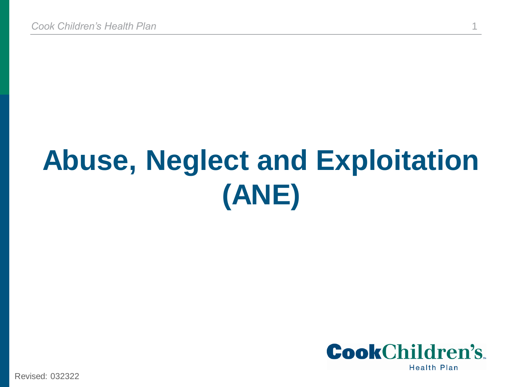# **Abuse, Neglect and Exploitation (ANE)**



Revised: 032322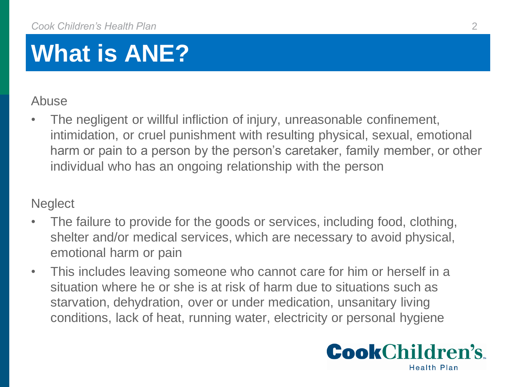## **What is ANE?**

#### Abuse

The negligent or willful infliction of injury, unreasonable confinement, intimidation, or cruel punishment with resulting physical, sexual, emotional harm or pain to a person by the person's caretaker, family member, or other individual who has an ongoing relationship with the person

#### **Neglect**

- The failure to provide for the goods or services, including food, clothing, shelter and/or medical services, which are necessary to avoid physical, emotional harm or pain
- This includes leaving someone who cannot care for him or herself in a situation where he or she is at risk of harm due to situations such as starvation, dehydration, over or under medication, unsanitary living conditions, lack of heat, running water, electricity or personal hygiene

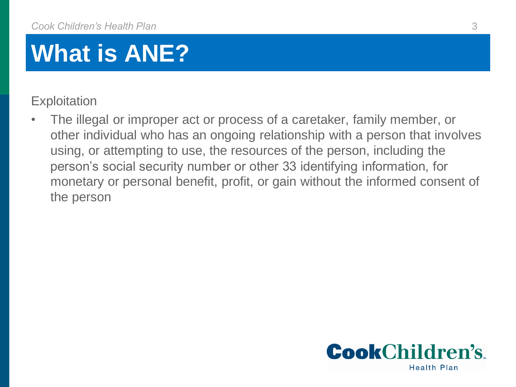## **What is ANE?**

**Exploitation** 

• The illegal or improper act or process of a caretaker, family member, or other individual who has an ongoing relationship with a person that involves using, or attempting to use, the resources of the person, including the person's social security number or other 33 identifying information, for monetary or personal benefit, profit, or gain without the informed consent of the person

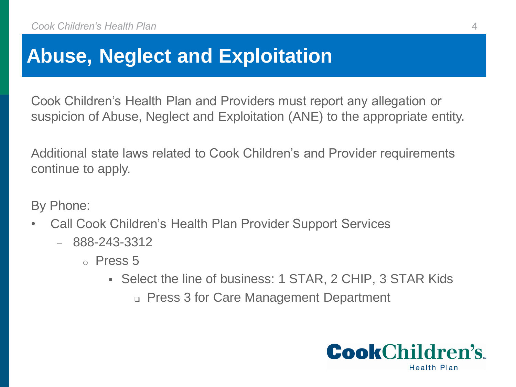#### **Abuse, Neglect and Exploitation**

Cook Children's Health Plan and Providers must report any allegation or suspicion of Abuse, Neglect and Exploitation (ANE) to the appropriate entity.

Additional state laws related to Cook Children's and Provider requirements continue to apply.

By Phone:

- Call Cook Children's Health Plan Provider Support Services
	- 888-243-3312
		- $\circ$  Press 5
			- Select the line of business: 1 STAR, 2 CHIP, 3 STAR Kids
				- Press 3 for Care Management Department

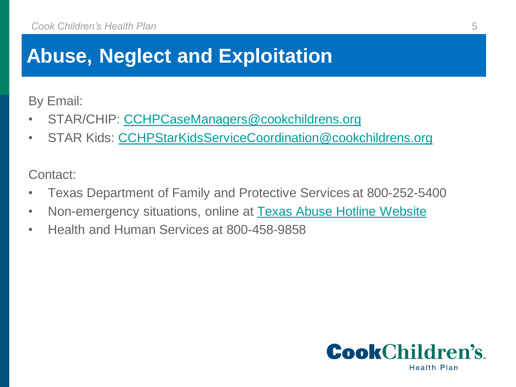### **Abuse, Neglect and Exploitation**

By Email:

- STAR/CHIP: [CCHPCaseManagers@cookchildrens.org](mailto:CCHPCaseManagers@cookchildrens.org)
- STAR Kids: [CCHPStarKidsServiceCoordination@cookchildrens.org](mailto:CCHPStarKidsServiceCoordination@cookchildrens.org)

Contact:

- Texas Department of Family and Protective Services at 800-252-5400
- Non-emergency situations, online at [Texas Abuse Hotline Website](https://www.txabusehotline.org/Login/Default.aspx)
- Health and Human Services at 800-458-9858

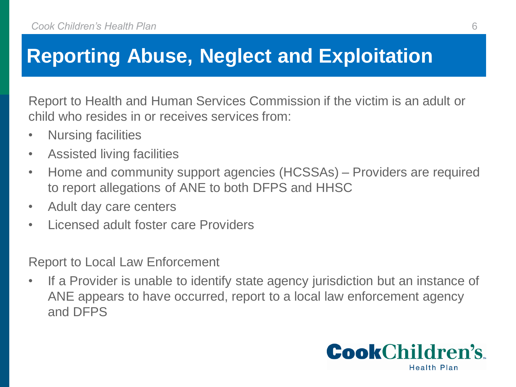### **Reporting Abuse, Neglect and Exploitation**

Report to Health and Human Services Commission if the victim is an adult or child who resides in or receives services from:

- Nursing facilities
- Assisted living facilities
- Home and community support agencies (HCSSAs) Providers are required to report allegations of ANE to both DFPS and HHSC
- Adult day care centers
- Licensed adult foster care Providers

Report to Local Law Enforcement

• If a Provider is unable to identify state agency jurisdiction but an instance of ANE appears to have occurred, report to a local law enforcement agency and DFPS

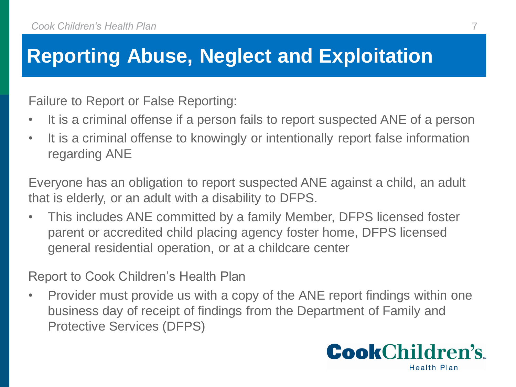### **Reporting Abuse, Neglect and Exploitation**

Failure to Report or False Reporting:

- It is a criminal offense if a person fails to report suspected ANE of a person
- It is a criminal offense to knowingly or intentionally report false information regarding ANE

Everyone has an obligation to report suspected ANE against a child, an adult that is elderly, or an adult with a disability to DFPS.

• This includes ANE committed by a family Member, DFPS licensed foster parent or accredited child placing agency foster home, DFPS licensed general residential operation, or at a childcare center

Report to Cook Children's Health Plan

• Provider must provide us with a copy of the ANE report findings within one business day of receipt of findings from the Department of Family and Protective Services (DFPS)

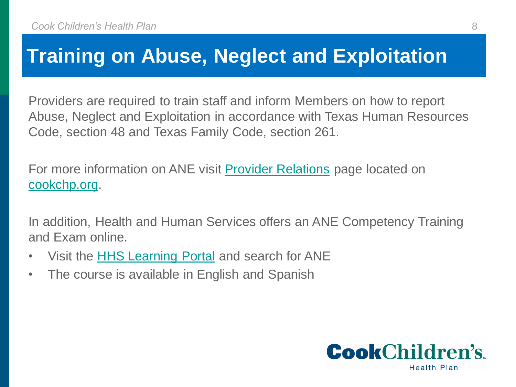#### **Training on Abuse, Neglect and Exploitation**

Providers are required to train staff and inform Members on how to report Abuse, Neglect and Exploitation in accordance with Texas Human Resources Code, section 48 and Texas Family Code, section 261.

For more information on ANE visit **[Provider Relations](https://cookchp.org/providers/Pages/provider-relations.aspx)** page located on <cookchp.org>.

In addition, Health and Human Services offers an ANE Competency Training and Exam online.

- Visit the **[HHS Learning Portal](https://learningportal.dfps.state.tx.us/course/index.php?categoryid=22) and search for ANE**
- The course is available in English and Spanish